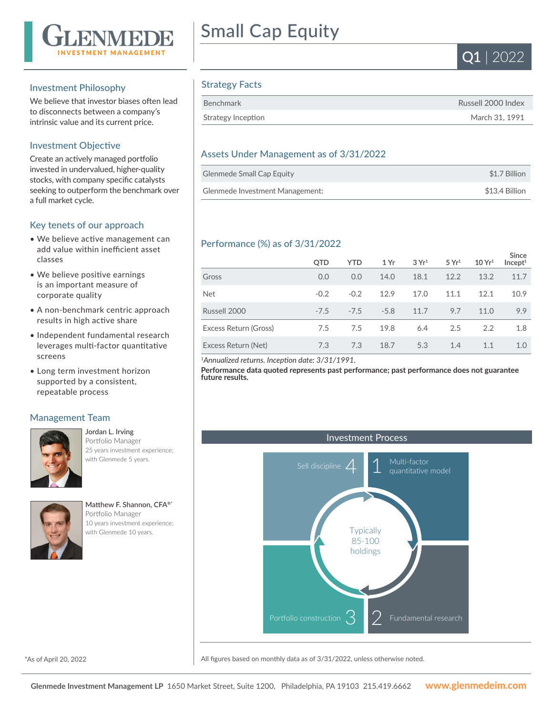

## Investment Philosophy

We believe that investor biases often lead to disconnects between a company's intrinsic value and its current price.

## Investment Objective

Create an actively managed portfolio invested in undervalued, higher-quality stocks, with company specific catalysts seeking to outperform the benchmark over a full market cycle.

## Key tenets of our approach

- We believe active management can add value within inefficient asset classes
- We believe positive earnings is an important measure of corporate quality
- A non-benchmark centric approach results in high active share
- Independent fundamental research leverages multi-factor quantitative screens
- Long term investment horizon supported by a consistent, repeatable process

## Management Team



Jordan L. Irving Portfolio Manager 25 years investment experience; with Glenmede 5 years.



Matthew F. Shannon, CFA®\* Portfolio Manager 10 years investment experience; with Glenmede 10 years.

# Small Cap Equity



# Strategy Facts

| Benchmark          | Russell 2000 Index |
|--------------------|--------------------|
| Strategy Inception | March 31, 1991     |

## Assets Under Management as of 3/31/2022

| <b>Glenmede Small Cap Equity</b> | \$1.7 Billion  |
|----------------------------------|----------------|
| Glenmede Investment Management:  | \$13.4 Billion |

# Performance (%) as of 3/31/2022

|                       | QTD    | <b>YTD</b> | 1Yr    | 3Yr <sup>1</sup> | 5 Yr <sup>1</sup> | 10 Yr <sup>1</sup> | Since<br>Incept <sup>1</sup> |
|-----------------------|--------|------------|--------|------------------|-------------------|--------------------|------------------------------|
| Gross                 | 0.0    | 0.0        | 14.0   | 18.1             | 12.2              | 13.2               | 11.7                         |
| <b>Net</b>            | $-0.2$ | $-0.2$     | 12.9   | 17.0             | 11.1              | 12.1               | 10.9                         |
| Russell 2000          | $-7.5$ | $-7.5$     | $-5.8$ | 11.7             | 9.7               | 11.0               | 9.9                          |
| Excess Return (Gross) | 7.5    | 7.5        | 19.8   | 6.4              | 2.5               | 2.2                | 1.8                          |
| Excess Return (Net)   | 7.3    | 7.3        | 18.7   | 5.3              | 1.4               | 1.1                | 1.0                          |

*<sup>1</sup>Annualized returns. Inception date: 3/31/1991.*

**Performance data quoted represents past performance; past performance does not guarantee future results.**



\*As of April 20, 2022

All figures based on monthly data as of 3/31/2022, unless otherwise noted.